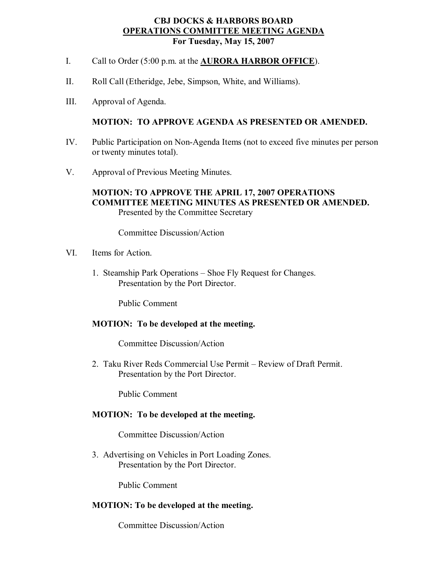### **CBJ DOCKS & HARBORS BOARD OPERATIONS COMMITTEE MEETING AGENDA For Tuesday, May 15, 2007**

- I. Call to Order (5:00 p.m. at the **AURORA HARBOR OFFICE**).
- II. Roll Call (Etheridge, Jebe, Simpson, White, and Williams).
- III. Approval of Agenda.

## **MOTION: TO APPROVE AGENDA AS PRESENTED OR AMENDED.**

- IV. Public Participation on Non-Agenda Items (not to exceed five minutes per person or twenty minutes total).
- V. Approval of Previous Meeting Minutes.

## **MOTION: TO APPROVE THE APRIL 17, 2007 OPERATIONS COMMITTEE MEETING MINUTES AS PRESENTED OR AMENDED.** Presented by the Committee Secretary

Committee Discussion/Action

- VI. Items for Action.
	- 1. Steamship Park Operations Shoe Fly Request for Changes. Presentation by the Port Director.

Public Comment

#### **MOTION: To be developed at the meeting.**

Committee Discussion/Action

2. Taku River Reds Commercial Use Permit – Review of Draft Permit. Presentation by the Port Director.

Public Comment

# **MOTION: To be developed at the meeting.**

Committee Discussion/Action

3. Advertising on Vehicles in Port Loading Zones. Presentation by the Port Director.

Public Comment

### **MOTION: To be developed at the meeting.**

Committee Discussion/Action